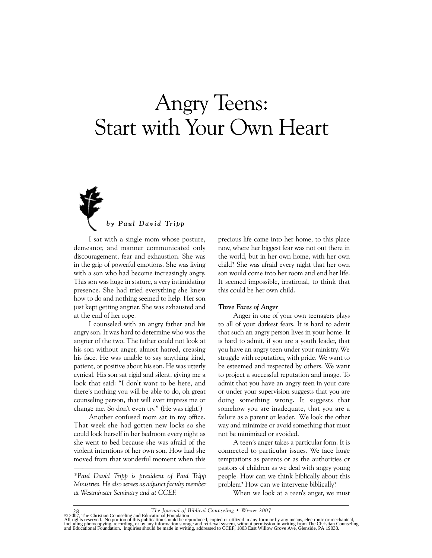# Angry Teens: Start with Your Own Heart



*by Paul David Tripp*

I sat with a single mom whose posture, demeanor, and manner communicated only discouragement, fear and exhaustion. She was in the grip of powerful emotions. She was living with a son who had become increasingly angry. This son was huge in stature, a very intimidating presence. She had tried everything she knew how to do and nothing seemed to help. Her son just kept getting angrier. She was exhausted and at the end of her rope.

I counseled with an angry father and his angry son. It was hard to determine who was the angrier of the two. The father could not look at his son without anger, almost hatred, creasing his face. He was unable to say anything kind, patient, or positive about his son. He was utterly cynical. His son sat rigid and silent, giving me a look that said: "I don't want to be here, and there's nothing you will be able to do, oh great counseling person, that will ever impress me or change me. So don't even try." (He was right!)

Another confused mom sat in my office. That week she had gotten new locks so she could lock herself in her bedroom every night as she went to bed because she was afraid of the violent intentions of her own son. How had she moved from that wonderful moment when this

*\*Paul David Tripp is president of Paul Tripp Ministries. He also serves as adjunct faculty member at Westminster Seminary and at CCEF.* 

precious life came into her home, to this place now, where her biggest fear was not out there in the world, but in her own home, with her own child? She was afraid every night that her own son would come into her room and end her life. It seemed impossible, irrational, to think that this could be her own child.

#### *Three Faces of Anger*

Anger in one of your own teenagers plays to all of your darkest fears. It is hard to admit that such an angry person lives in your home. It is hard to admit, if you are a youth leader, that you have an angry teen under your ministry. We struggle with reputation, with pride. We want to be esteemed and respected by others. We want to project a successful reputation and image. To admit that you have an angry teen in your care or under your supervision suggests that you are doing something wrong. It suggests that somehow you are inadequate, that you are a failure as a parent or leader. We look the other way and minimize or avoid something that must not be minimized or avoided.

A teen's anger takes a particular form. It is connected to particular issues. We face huge temptations as parents or as the authorities or pastors of children as we deal with angry young people. How can we think biblically about this problem? How can we intervene biblically?

When we look at a teen's anger, we must

<sup>28</sup> The Journal of Biblical Counseling • Winter 2007<br>All rights reserved. No portion of this publicational Foundation<br>including photocopying, recording, or by any information should be reproduced, copied or utilized in any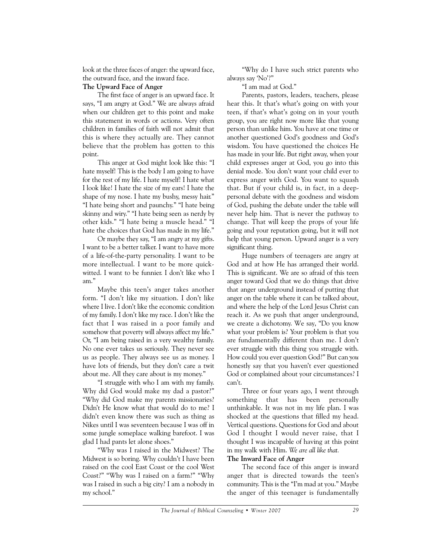look at the three faces of anger: the upward face, the outward face, and the inward face.

# **The Upward Face of Anger**

The first face of anger is an upward face. It says, "I am angry at God." We are always afraid when our children get to this point and make this statement in words or actions. Very often children in families of faith will not admit that this is where they actually are. They cannot believe that the problem has gotten to this point.

This anger at God might look like this: "I hate myself! This is the body I am going to have for the rest of my life. I hate myself! I hate what I look like! I hate the size of my ears! I hate the shape of my nose. I hate my bushy, messy hair." "I hate being short and paunchy." "I hate being skinny and wiry." "I hate being seen as nerdy by other kids." "I hate being a muscle head." "I hate the choices that God has made in my life."

Or maybe they say, "I am angry at my gifts. I want to be a better talker. I want to have more of a life-of-the-party personality. I want to be more intellectual. I want to be more quickwitted. I want to be funnier. I don't like who I am."

Maybe this teen's anger takes another form. "I don't like my situation. I don't like where I live. I don't like the economic condition of my family. I don't like my race. I don't like the fact that I was raised in a poor family and somehow that poverty will always affect my life." Or, "I am being raised in a very wealthy family. No one ever takes us seriously. They never see us as people. They always see us as money. I have lots of friends, but they don't care a twit about me. All they care about is my money."

"I struggle with who I am with my family. Why did God would make my dad a pastor?" "Why did God make my parents missionaries? Didn't He know what that would do to me? I didn't even know there was such as thing as Nikes until I was seventeen because I was off in some jungle someplace walking barefoot. I was glad I had pants let alone shoes."

"Why was I raised in the Midwest? The Midwest is so boring. Why couldn't I have been raised on the cool East Coast or the cool West Coast?" "Why was I raised on a farm?" "Why was I raised in such a big city? I am a nobody in my school."

"Why do I have such strict parents who always say 'No'?"

"I am mad at God."

Parents, pastors, leaders, teachers, please hear this. It that's what's going on with your teen, if that's what's going on in your youth group, you are right now more like that young person than unlike him. You have at one time or another questioned God's goodness and God's wisdom. You have questioned the choices He has made in your life. But right away, when your child expresses anger at God, you go into this denial mode. You don't want your child ever to express anger with God. You want to squash that. But if your child is, in fact, in a deeppersonal debate with the goodness and wisdom of God, pushing the debate under the table will never help him. That is never the pathway to change. That will keep the props of your life going and your reputation going, but it will not help that young person. Upward anger is a very significant thing.

Huge numbers of teenagers are angry at God and at how He has arranged their world. This is significant. We are so afraid of this teen anger toward God that we do things that drive that anger underground instead of putting that anger on the table where it can be talked about, and where the help of the Lord Jesus Christ can reach it. As we push that anger underground, we create a dichotomy. We say, "Do you know what your problem is? Your problem is that you are fundamentally different than me. I don't ever struggle with this thing you struggle with. How could you ever question God?" But can *you* honestly say that you haven't ever questioned God or complained about your circumstances? I can't.

Three or four years ago, I went through something that has been personally unthinkable. It was not in my life plan. I was shocked at the questions that filled my head. Vertical questions. Questions for God and about God I thought I would never raise, that I thought I was incapable of having at this point in my walk with Him. *We are all like that.*

## **The Inward Face of Anger**

The second face of this anger is inward anger that is directed towards the teen's community. This is the "I'm mad at you." Maybe the anger of this teenager is fundamentally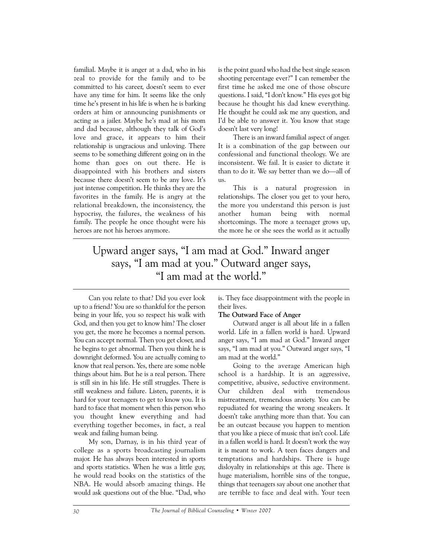familial. Maybe it is anger at a dad, who in his zeal to provide for the family and to be committed to his career, doesn't seem to ever have any time for him. It seems like the only time he's present in his life is when he is barking orders at him or announcing punishments or acting as a jailer. Maybe he's mad at his mom and dad because, although they talk of God's love and grace, it appears to him their relationship is ungracious and unloving. There seems to be something different going on in the home than goes on out there. He is disappointed with his brothers and sisters because there doesn't seem to be any love. It's just intense competition. He thinks they are the favorites in the family. He is angry at the relational breakdown, the inconsistency, the hypocrisy, the failures, the weakness of his family. The people he once thought were his heroes are not his heroes anymore.

is the point guard who had the best single season shooting percentage ever?" I can remember the first time he asked me one of those obscure questions. I said, "I don't know." His eyes got big because he thought his dad knew everything. He thought he could ask me any question, and I'd be able to answer it. You know that stage doesn't last very long!

There is an inward familial aspect of anger. It is a combination of the gap between our confessional and functional theology. We are inconsistent. We fail. It is easier to dictate it than to do it. We say better than we do—all of us.

This is a natural progression in relationships. The closer you get to your hero, the more you understand this person is just another human being with normal shortcomings. The more a teenager grows up, the more he or she sees the world as it actually

# Upward anger says, "I am mad at God." Inward anger says, "I am mad at you." Outward anger says, "I am mad at the world."

Can you relate to that? Did you ever look up to a friend? You are so thankful for the person being in your life, you so respect his walk with God, and then you get to know him? The closer you get, the more he becomes a normal person. You can accept normal. Then you get closer, and he begins to get abnormal. Then you think he is downright deformed. You are actually coming to know that real person. Yes, there are some noble things about him. But he is a real person. There is still sin in his life. He still struggles. There is still weakness and failure. Listen, parents, it is hard for your teenagers to get to know you. It is hard to face that moment when this person who you thought knew everything and had everything together becomes, in fact, a real weak and failing human being.

My son, Darnay, is in his third year of college as a sports broadcasting journalism major. He has always been interested in sports and sports statistics. When he was a little guy, he would read books on the statistics of the NBA. He would absorb amazing things. He would ask questions out of the blue. "Dad, who

is. They face disappointment with the people in their lives.

#### **The Outward Face of Anger**

Outward anger is all about life in a fallen world. Life in a fallen world is hard. Upward anger says, "I am mad at God." Inward anger says, "I am mad at you." Outward anger says, "I am mad at the world."

Going to the average American high school is a hardship. It is an aggressive, competitive, abusive, seductive environment. Our children deal with tremendous mistreatment, tremendous anxiety. You can be repudiated for wearing the wrong sneakers. It doesn't take anything more than that. You can be an outcast because you happen to mention that you like a piece of music that isn't cool. Life in a fallen world is hard. It doesn't work the way it is meant to work. A teen faces dangers and temptations and hardships. There is huge disloyalty in relationships at this age. There is huge materialism, horrible sins of the tongue, things that teenagers say about one another that are terrible to face and deal with. Your teen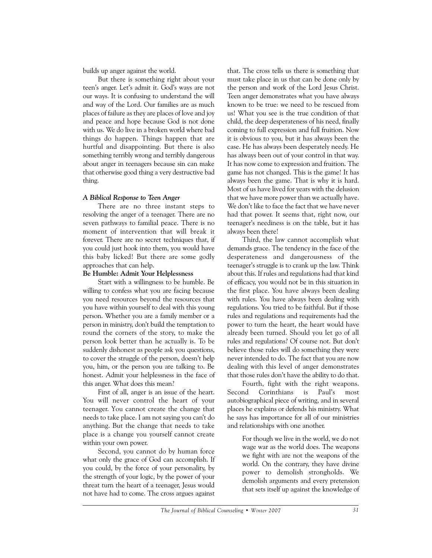builds up anger against the world.

But there is something right about your teen's anger. Let's admit it. God's ways are not our ways. It is confusing to understand the will and way of the Lord. Our families are as much places of failure as they are places of love and joy and peace and hope because God is not done with us. We do live in a broken world where bad things do happen. Things happen that are hurtful and disappointing. But there is also something terribly wrong and terribly dangerous about anger in teenagers because sin can make that otherwise good thing a very destructive bad thing.

## *A Biblical Response to Teen Anger*

There are no three instant steps to resolving the anger of a teenager. There are no seven pathways to familial peace. There is no moment of intervention that will break it forever. There are no secret techniques that, if you could just hook into them, you would have this baby licked! But there are some godly approaches that can help.

# **Be Humble: Admit Your Helplessness**

Start with a willingness to be humble. Be willing to confess what you are facing because you need resources beyond the resources that you have within yourself to deal with this young person. Whether you are a family member or a person in ministry, don't build the temptation to round the corners of the story, to make the person look better than he actually is. To be suddenly dishonest as people ask you questions, to cover the struggle of the person, doesn't help you, him, or the person you are talking to. Be honest. Admit your helplessness in the face of this anger. What does this mean?

First of all, anger is an issue of the heart. You will never control the heart of your teenager. You cannot create the change that needs to take place. I am not saying you can't do anything. But the change that needs to take place is a change you yourself cannot create within your own power.

Second, you cannot do by human force what only the grace of God can accomplish. If you could, by the force of your personality, by the strength of your logic, by the power of your threat turn the heart of a teenager, Jesus would not have had to come. The cross argues against

that. The cross tells us there is something that must take place in us that can be done only by the person and work of the Lord Jesus Christ. Teen anger demonstrates what you have always known to be true: we need to be rescued from us! What you see is the true condition of that child, the deep desperateness of his need, finally coming to full expression and full fruition. Now it is obvious to you, but it has always been the case. He has always been desperately needy. He has always been out of your control in that way. It has now come to expression and fruition. The game has not changed. This is the game! It has always been the game. That is why it is hard. Most of us have lived for years with the delusion that we have more power than we actually have. We don't like to face the fact that we have never had that power. It seems that, right now, our teenager's neediness is on the table, but it has always been there!

Third, the law cannot accomplish what demands grace. The tendency in the face of the desperateness and dangerousness of the teenager's struggle is to crank up the law. Think about this. If rules and regulations had that kind of efficacy, you would not be in this situation in the first place. You have always been dealing with rules. You have always been dealing with regulations. You tried to be faithful. But if those rules and regulations and requirements had the power to turn the heart, the heart would have already been turned. Should you let go of all rules and regulations? Of course not. But don't believe those rules will do something they were never intended to do. The fact that you are now dealing with this level of anger demonstrates that those rules don't have the ability to do that.

Fourth, fight with the right weapons. Second Corinthians is Paul's most autobiographical piece of writing, and in several places he explains or defends his ministry. What he says has importance for all of our ministries and relationships with one another.

> For though we live in the world, we do not wage war as the world does. The weapons we fight with are not the weapons of the world. On the contrary, they have divine power to demolish strongholds. We demolish arguments and every pretension that sets itself up against the knowledge of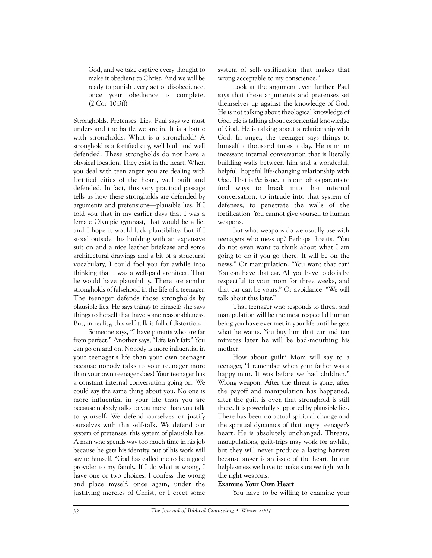God, and we take captive every thought to make it obedient to Christ. And we will be ready to punish every act of disobedience, once your obedience is complete. (2 Cor. 10:3ff)

Strongholds. Pretenses. Lies. Paul says we must understand the battle we are in. It is a battle with strongholds. What is a stronghold? A stronghold is a fortified city, well built and well defended. These strongholds do not have a physical location. They exist in the heart. When you deal with teen anger, you are dealing with fortified cities of the heart, well built and defended. In fact, this very practical passage tells us how these strongholds are defended by arguments and pretensions—plausible lies. If I told you that in my earlier days that I was a female Olympic gymnast, that would be a lie; and I hope it would lack plausibility. But if I stood outside this building with an expensive suit on and a nice leather briefcase and some architectural drawings and a bit of a structural vocabulary, I could fool you for awhile into thinking that I was a well-paid architect. That lie would have plausibility. There are similar strongholds of falsehood in the life of a teenager. The teenager defends those strongholds by plausible lies. He says things to himself; she says things to herself that have some reasonableness. But, in reality, this self-talk is full of distortion.

Someone says, "I have parents who are far from perfect." Another says, "Life isn't fair." You can go on and on. Nobody is more influential in your teenager's life than your own teenager because nobody talks to your teenager more than your own teenager does! Your teenager has a constant internal conversation going on. We could say the same thing about you. No one is more influential in your life than you are because nobody talks to you more than you talk to yourself. We defend ourselves or justify ourselves with this self-talk. We defend our system of pretenses, this system of plausible lies. A man who spends way too much time in his job because he gets his identity out of his work will say to himself, "God has called me to be a good provider to my family. If I do what is wrong, I have one or two choices. I confess the wrong and place myself, once again, under the justifying mercies of Christ, or I erect some system of self-justification that makes that wrong acceptable to my conscience."

Look at the argument even further. Paul says that these arguments and pretenses set themselves up against the knowledge of God. He is not talking about theological knowledge of God. He is talking about experiential knowledge of God. He is talking about a relationship with God. In anger, the teenager says things to himself a thousand times a day. He is in an incessant internal conversation that is literally building walls between him and a wonderful, helpful, hopeful life-changing relationship with God. That is *the* issue. It is our job as parents to find ways to break into that internal conversation, to intrude into that system of defenses, to penetrate the walls of the fortification. You cannot give yourself to human weapons.

But what weapons do we usually use with teenagers who mess up? Perhaps threats. "You do not even want to think about what I am going to do if you go there. It will be on the news." Or manipulation. "You want that car? You can have that car. All you have to do is be respectful to your mom for three weeks, and that car can be yours." Or avoidance. "We will talk about this later."

That teenager who responds to threat and manipulation will be the most respectful human being you have ever met in your life until he gets what he wants. You buy him that car and ten minutes later he will be bad-mouthing his mother.

How about guilt? Mom will say to a teenager, "I remember when your father was a happy man. It was before we had children." Wrong weapon. After the threat is gone, after the payoff and manipulation has happened, after the guilt is over, that stronghold is still there. It is powerfully supported by plausible lies. There has been no actual spiritual change and the spiritual dynamics of that angry teenager's heart. He is absolutely unchanged. Threats, manipulations, guilt-trips may work for awhile, but they will never produce a lasting harvest because anger is an issue of the heart. In our helplessness we have to make sure we fight with the right weapons.

#### **Examine Your Own Heart**

You have to be willing to examine your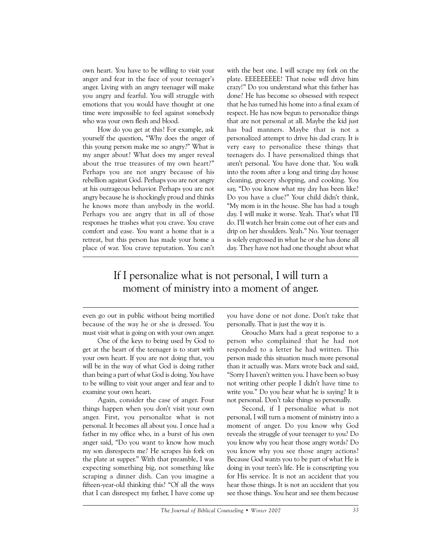own heart. You have to be willing to visit your anger and fear in the face of your teenager's anger. Living with an angry teenager will make you angry and fearful. You will struggle with emotions that you would have thought at one time were impossible to feel against somebody who was your own flesh and blood.

How do you get at this? For example, ask yourself the question, "Why does the anger of this young person make me so angry?" What is my anger about? What does my anger reveal about the true treasures of my own heart?" Perhaps you are not angry because of his rebellion against God. Perhaps you are not angry at his outrageous behavior. Perhaps you are not angry because he is shockingly proud and thinks he knows more than anybody in the world. Perhaps you are angry that in all of those responses he trashes what you crave. You crave comfort and ease. You want a home that is a retreat, but this person has made your home a place of war. You crave reputation. You can't with the best one. I will scrape my fork on the plate. EEEEEEEEE! That noise will drive him crazy!" Do you understand what this father has done? He has become so obsessed with respect that he has turned his home into a final exam of respect. He has now begun to personalize things that are not personal at all. Maybe the kid just has bad manners. Maybe that is not a personalized attempt to drive his dad crazy. It is very easy to personalize these things that teenagers do. I have personalized things that aren't personal. You have done that. You walk into the room after a long and tiring day house cleaning, grocery shopping, and cooking. You say, "Do you know what my day has been like? Do you have a clue?" Your child didn't think, "My mom is in the house. She has had a tough day. I will make it worse. Yeah. That's what I'll do. I'll watch her brain come out of her ears and drip on her shoulders. Yeah." No. Your teenager is solely engrossed in what he or she has done all day. They have not had one thought about what

# If I personalize what is not personal, I will turn a moment of ministry into a moment of anger.

even go out in public without being mortified because of the way he or she is dressed. You must visit what is going on with your own anger.

One of the keys to being used by God to get at the heart of the teenager is to start with your own heart. If you are not doing that, you will be in the way of what God is doing rather than being a part of what God is doing. You have to be willing to visit your anger and fear and to examine your own heart.

Again, consider the case of anger. Four things happen when you don't visit your own anger. First, you personalize what is not personal. It becomes all about you. I once had a father in my office who, in a burst of his own anger said, "Do you want to know how much my son disrespects me? He scrapes his fork on the plate at supper." With that preamble, I was expecting something big, not something like scraping a dinner dish. Can you imagine a fifteen-year-old thinking this? "Of all the ways that I can disrespect my father, I have come up you have done or not done. Don't take that personally. That is just the way it is.

Groucho Marx had a great response to a person who complained that he had not responded to a letter he had written. This person made this situation much more personal than it actually was. Marx wrote back and said, "Sorry I haven't written you. I have been so busy not writing other people I didn't have time to write you." Do you hear what he is saying? It is not personal. Don't take things so personally.

Second, if I personalize what is not personal, I will turn a moment of ministry into a moment of anger. Do you know why God reveals the struggle of your teenager to you? Do you know why you hear those angry words? Do you know why you see those angry actions? Because God wants you to be part of what He is doing in your teen's life. He is conscripting you for His service. It is not an accident that you hear those things. It is not an accident that you see those things. You hear and see them because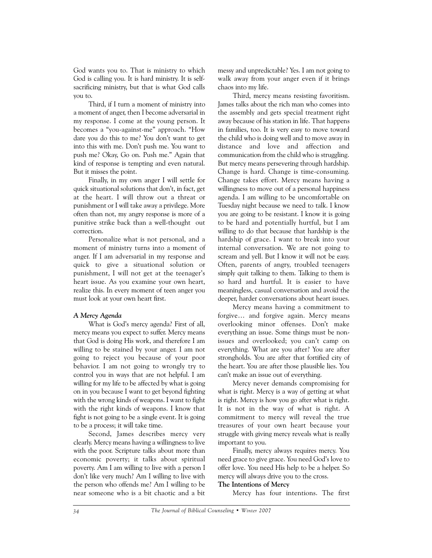God wants you to. That is ministry to which God is calling you. It is hard ministry. It is selfsacrificing ministry, but that is what God calls you to.

Third, if I turn a moment of ministry into a moment of anger, then I become adversarial in my response. I come at the young person. It becomes a "you-against-me" approach. "How dare you do this to me? You don't want to get into this with me. Don't push me. You want to push me? Okay, Go on. Push me." Again that kind of response is tempting and even natural. But it misses the point.

Finally, in my own anger I will settle for quick situational solutions that don't, in fact, get at the heart. I will throw out a threat or punishment or I will take away a privilege. More often than not, my angry response is more of a punitive strike back than a well-thought out correction.

Personalize what is not personal, and a moment of ministry turns into a moment of anger. If I am adversarial in my response and quick to give a situational solution or punishment, I will not get at the teenager's heart issue. As you examine your own heart, realize this. In every moment of teen anger you must look at your own heart first.

#### *A Mercy Agenda*

What is God's mercy agenda? First of all, mercy means you expect to suffer. Mercy means that God is doing His work, and therefore I am willing to be stained by your anger. I am not going to reject you because of your poor behavior. I am not going to wrongly try to control you in ways that are not helpful. I am willing for my life to be affected by what is going on in you because I want to get beyond fighting with the wrong kinds of weapons. I want to fight with the right kinds of weapons. I know that fight is not going to be a single event. It is going to be a process; it will take time.

Second, James describes mercy very clearly. Mercy means having a willingness to live with the poor. Scripture talks about more than economic poverty; it talks about spiritual poverty. Am I am willing to live with a person I don't like very much? Am I willing to live with the person who offends me? Am I willing to be near someone who is a bit chaotic and a bit messy and unpredictable? Yes. I am not going to walk away from your anger even if it brings chaos into my life.

Third, mercy means resisting favoritism. James talks about the rich man who comes into the assembly and gets special treatment right away because of his station in life. That happens in families, too. It is very easy to move toward the child who is doing well and to move away in distance and love and affection and communication from the child who is struggling. But mercy means persevering through hardship. Change is hard. Change is time-consuming. Change takes effort. Mercy means having a willingness to move out of a personal happiness agenda. I am willing to be uncomfortable on Tuesday night because we need to talk. I know you are going to be resistant. I know it is going to be hard and potentially hurtful, but I am willing to do that because that hardship is the hardship of grace. I want to break into your internal conversation. We are not going to scream and yell. But I know it will not be easy. Often, parents of angry, troubled teenagers simply quit talking to them. Talking to them is so hard and hurtful. It is easier to have meaningless, casual conversation and avoid the deeper, harder conversations about heart issues.

Mercy means having a commitment to forgive… and forgive again. Mercy means overlooking minor offenses. Don't make everything an issue. Some things must be nonissues and overlooked; you can't camp on everything. What are you after? You are after strongholds. You are after that fortified city of the heart. You are after those plausible lies. You can't make an issue out of everything.

Mercy never demands compromising for what is right. Mercy is a way of getting at what is right. Mercy is how you go after what is right. It is not in the way of what is right. A commitment to mercy will reveal the true treasures of your own heart because your struggle with giving mercy reveals what is really important to you.

Finally, mercy always requires mercy. You need grace to give grace. You need God's love to offer love. You need His help to be a helper. So mercy will always drive you to the cross.

#### **The Intentions of Mercy**

Mercy has four intentions. The first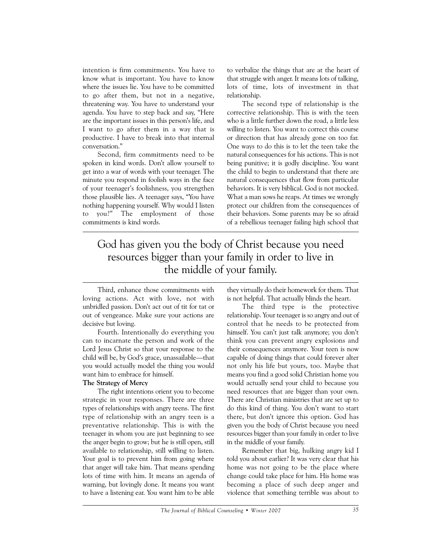intention is firm commitments. You have to know what is important. You have to know where the issues lie. You have to be committed to go after them, but not in a negative, threatening way. You have to understand your agenda. You have to step back and say, "Here are the important issues in this person's life, and I want to go after them in a way that is productive. I have to break into that internal conversation."

Second, firm commitments need to be spoken in kind words. Don't allow yourself to get into a war of words with your teenager. The minute you respond in foolish ways in the face of your teenager's foolishness, you strengthen those plausible lies. A teenager says, "You have nothing happening yourself. Why would I listen to you?" The employment of those commitments is kind words.

to verbalize the things that are at the heart of that struggle with anger. It means lots of talking, lots of time, lots of investment in that relationship.

The second type of relationship is the corrective relationship. This is with the teen who is a little further down the road, a little less willing to listen. You want to correct this course or direction that has already gone on too far. One ways to do this is to let the teen take the natural consequences for his actions. This is not being punitive; it is godly discipline. You want the child to begin to understand that there are natural consequences that flow from particular behaviors. It is very biblical. God is not mocked. What a man sows he reaps. At times we wrongly protect our children from the consequences of their behaviors. Some parents may be so afraid of a rebellious teenager failing high school that

# God has given you the body of Christ because you need resources bigger than your family in order to live in the middle of your family.

Third, enhance those commitments with loving actions. Act with love, not with unbridled passion. Don't act out of tit for tat or out of vengeance. Make sure your actions are decisive but loving.

Fourth. Intentionally do everything you can to incarnate the person and work of the Lord Jesus Christ so that your response to the child will be, by God's grace, unassailable—that you would actually model the thing you would want him to embrace for himself.

## **The Strategy of Mercy**

The right intentions orient you to become strategic in your responses. There are three types of relationships with angry teens. The first type of relationship with an angry teen is a preventative relationship. This is with the teenager in whom you are just beginning to see the anger begin to grow; but he is still open, still available to relationship, still willing to listen. Your goal is to prevent him from going where that anger will take him. That means spending lots of time with him. It means an agenda of warning, but lovingly done. It means you want to have a listening ear. You want him to be able

they virtually do their homework for them. That is not helpful. That actually blinds the heart.

The third type is the protective relationship. Your teenager is so angry and out of control that he needs to be protected from himself. You can't just talk anymore; you don't think you can prevent angry explosions and their consequences anymore. Your teen is now capable of doing things that could forever alter not only his life but yours, too. Maybe that means you find a good solid Christian home you would actually send your child to because you need resources that are bigger than your own. There are Christian ministries that are set up to do this kind of thing. You don't want to start there, but don't ignore this option. God has given you the body of Christ because you need resources bigger than your family in order to live in the middle of your family.

Remember that big, hulking angry kid I told you about earlier? It was very clear that his home was not going to be the place where change could take place for him. His home was becoming a place of such deep anger and violence that something terrible was about to